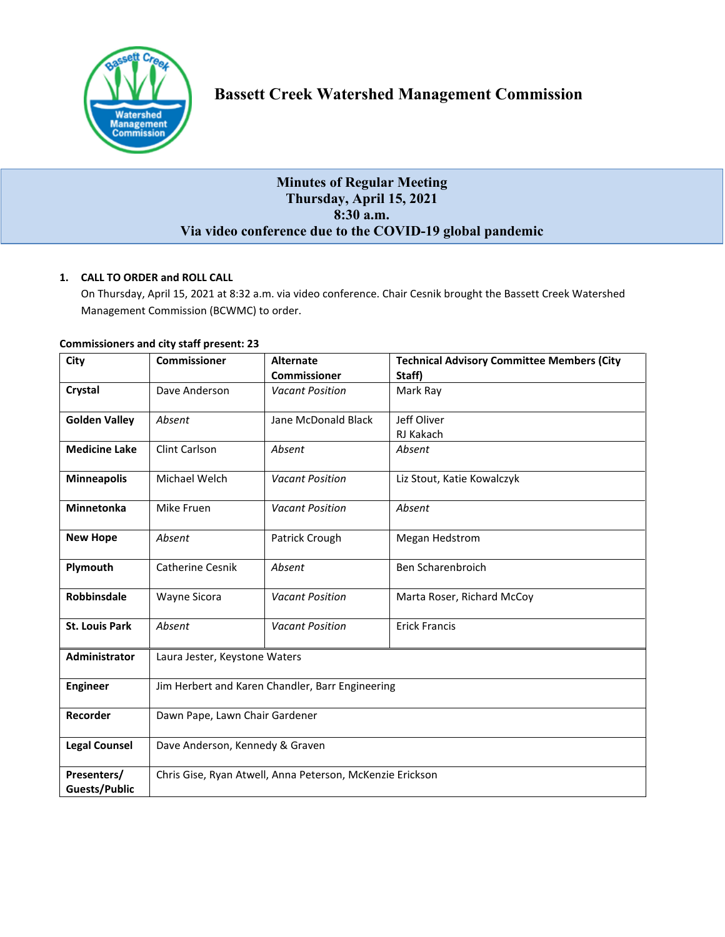

# **Bassett Creek Watershed Management Commission**

# **Minutes of Regular Meeting Thursday, April 15, 2021 8:30 a.m. Via video conference due to the COVID-19 global pandemic**

# **1. CALL TO ORDER and ROLL CALL**

On Thursday, April 15, 2021 at 8:32 a.m. via video conference. Chair Cesnik brought the Bassett Creek Watershed Management Commission (BCWMC) to order.

| City                  | <b>Commissioner</b>                                       | <b>Alternate</b>       | <b>Technical Advisory Committee Members (City</b> |  |
|-----------------------|-----------------------------------------------------------|------------------------|---------------------------------------------------|--|
|                       |                                                           | <b>Commissioner</b>    | Staff)                                            |  |
| Crystal               | Dave Anderson                                             | <b>Vacant Position</b> | Mark Ray                                          |  |
| <b>Golden Valley</b>  | Absent                                                    | Jane McDonald Black    | Jeff Oliver                                       |  |
|                       |                                                           |                        | RJ Kakach                                         |  |
| <b>Medicine Lake</b>  | Clint Carlson                                             | Absent                 | Absent                                            |  |
| <b>Minneapolis</b>    | Michael Welch                                             | <b>Vacant Position</b> | Liz Stout, Katie Kowalczyk                        |  |
| <b>Minnetonka</b>     | Mike Fruen                                                | <b>Vacant Position</b> | Absent                                            |  |
| <b>New Hope</b>       | Absent                                                    | Patrick Crough         | Megan Hedstrom                                    |  |
| Plymouth              | <b>Catherine Cesnik</b>                                   | Absent                 | Ben Scharenbroich                                 |  |
| Robbinsdale           | Wayne Sicora                                              | <b>Vacant Position</b> | Marta Roser, Richard McCoy                        |  |
| <b>St. Louis Park</b> | Absent                                                    | <b>Vacant Position</b> | <b>Erick Francis</b>                              |  |
| Administrator         | Laura Jester, Keystone Waters                             |                        |                                                   |  |
| <b>Engineer</b>       | Jim Herbert and Karen Chandler, Barr Engineering          |                        |                                                   |  |
| Recorder              | Dawn Pape, Lawn Chair Gardener                            |                        |                                                   |  |
| <b>Legal Counsel</b>  | Dave Anderson, Kennedy & Graven                           |                        |                                                   |  |
| Presenters/           | Chris Gise, Ryan Atwell, Anna Peterson, McKenzie Erickson |                        |                                                   |  |
| Guests/Public         |                                                           |                        |                                                   |  |

#### **Commissioners and city staff present: 23**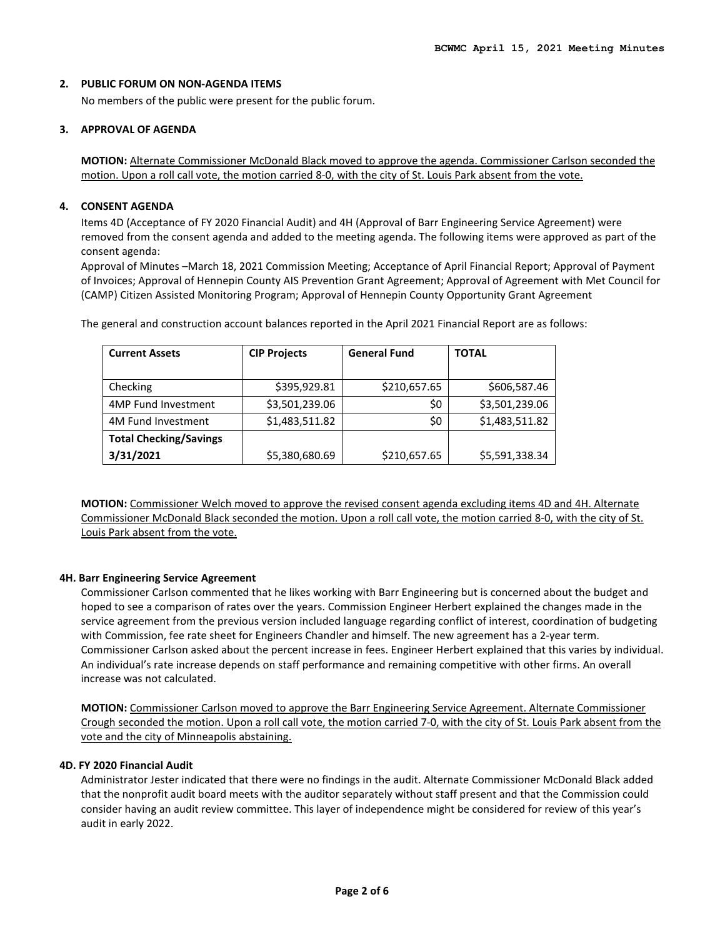# **2. PUBLIC FORUM ON NON-AGENDA ITEMS**

No members of the public were present for the public forum.

#### **3. APPROVAL OF AGENDA**

**MOTION:** Alternate Commissioner McDonald Black moved to approve the agenda. Commissioner Carlson seconded the motion. Upon a roll call vote, the motion carried 8-0, with the city of St. Louis Park absent from the vote.

#### **4. CONSENT AGENDA**

Items 4D (Acceptance of FY 2020 Financial Audit) and 4H (Approval of Barr Engineering Service Agreement) were removed from the consent agenda and added to the meeting agenda. The following items were approved as part of the consent agenda:

Approval of Minutes –March 18, 2021 Commission Meeting; Acceptance of April Financial Report; Approval of Payment of Invoices; Approval of Hennepin County AIS Prevention Grant Agreement; Approval of Agreement with Met Council for (CAMP) Citizen Assisted Monitoring Program; Approval of Hennepin County Opportunity Grant Agreement

| <b>Current Assets</b>         | <b>CIP Projects</b> | <b>General Fund</b> | <b>TOTAL</b>   |
|-------------------------------|---------------------|---------------------|----------------|
|                               |                     |                     |                |
| Checking                      | \$395,929.81        | \$210,657.65        | \$606,587.46   |
| 4MP Fund Investment           | \$3,501,239.06      | \$0                 | \$3,501,239.06 |
| 4M Fund Investment            | \$1,483,511.82      | \$0                 | \$1,483,511.82 |
| <b>Total Checking/Savings</b> |                     |                     |                |
| 3/31/2021                     | \$5,380,680.69      | \$210,657.65        | \$5,591,338.34 |

The general and construction account balances reported in the April 2021 Financial Report are as follows:

**MOTION:** Commissioner Welch moved to approve the revised consent agenda excluding items 4D and 4H. Alternate Commissioner McDonald Black seconded the motion. Upon a roll call vote, the motion carried 8-0, with the city of St. Louis Park absent from the vote.

#### **4H. Barr Engineering Service Agreement**

Commissioner Carlson commented that he likes working with Barr Engineering but is concerned about the budget and hoped to see a comparison of rates over the years. Commission Engineer Herbert explained the changes made in the service agreement from the previous version included language regarding conflict of interest, coordination of budgeting with Commission, fee rate sheet for Engineers Chandler and himself. The new agreement has a 2-year term. Commissioner Carlson asked about the percent increase in fees. Engineer Herbert explained that this varies by individual. An individual's rate increase depends on staff performance and remaining competitive with other firms. An overall increase was not calculated.

**MOTION:** Commissioner Carlson moved to approve the Barr Engineering Service Agreement. Alternate Commissioner Crough seconded the motion. Upon a roll call vote, the motion carried 7-0, with the city of St. Louis Park absent from the vote and the city of Minneapolis abstaining.

# **4D. FY 2020 Financial Audit**

Administrator Jester indicated that there were no findings in the audit. Alternate Commissioner McDonald Black added that the nonprofit audit board meets with the auditor separately without staff present and that the Commission could consider having an audit review committee. This layer of independence might be considered for review of this year's audit in early 2022.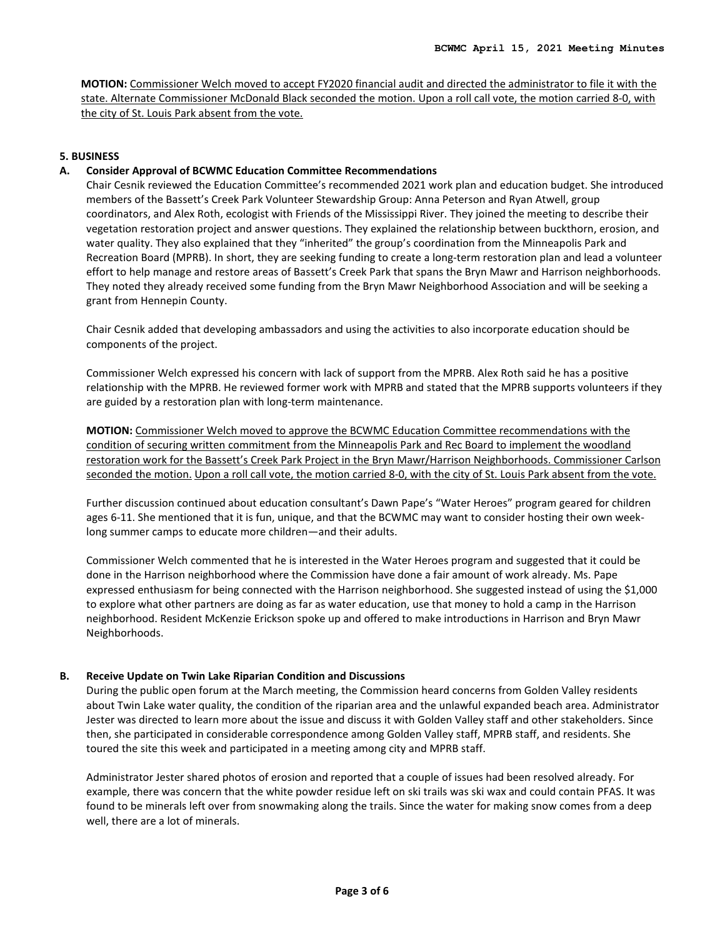**MOTION:** Commissioner Welch moved to accept FY2020 financial audit and directed the administrator to file it with the state. Alternate Commissioner McDonald Black seconded the motion. Upon a roll call vote, the motion carried 8-0, with the city of St. Louis Park absent from the vote.

#### **5. BUSINESS**

#### **A. Consider Approval of BCWMC Education Committee Recommendations**

Chair Cesnik reviewed the Education Committee's recommended 2021 work plan and education budget. She introduced members of the Bassett's Creek Park Volunteer Stewardship Group: Anna Peterson and Ryan Atwell, group coordinators, and Alex Roth, ecologist with Friends of the Mississippi River. They joined the meeting to describe their vegetation restoration project and answer questions. They explained the relationship between buckthorn, erosion, and water quality. They also explained that they "inherited" the group's coordination from the Minneapolis Park and Recreation Board (MPRB). In short, they are seeking funding to create a long-term restoration plan and lead a volunteer effort to help manage and restore areas of Bassett's Creek Park that spans the Bryn Mawr and Harrison neighborhoods. They noted they already received some funding from the Bryn Mawr Neighborhood Association and will be seeking a grant from Hennepin County.

Chair Cesnik added that developing ambassadors and using the activities to also incorporate education should be components of the project.

Commissioner Welch expressed his concern with lack of support from the MPRB. Alex Roth said he has a positive relationship with the MPRB. He reviewed former work with MPRB and stated that the MPRB supports volunteers if they are guided by a restoration plan with long-term maintenance.

**MOTION:** Commissioner Welch moved to approve the BCWMC Education Committee recommendations with the condition of securing written commitment from the Minneapolis Park and Rec Board to implement the woodland restoration work for the Bassett's Creek Park Project in the Bryn Mawr/Harrison Neighborhoods. Commissioner Carlson seconded the motion. Upon a roll call vote, the motion carried 8-0, with the city of St. Louis Park absent from the vote.

Further discussion continued about education consultant's Dawn Pape's "Water Heroes" program geared for children ages 6-11. She mentioned that it is fun, unique, and that the BCWMC may want to consider hosting their own weeklong summer camps to educate more children—and their adults.

Commissioner Welch commented that he is interested in the Water Heroes program and suggested that it could be done in the Harrison neighborhood where the Commission have done a fair amount of work already. Ms. Pape expressed enthusiasm for being connected with the Harrison neighborhood. She suggested instead of using the \$1,000 to explore what other partners are doing as far as water education, use that money to hold a camp in the Harrison neighborhood. Resident McKenzie Erickson spoke up and offered to make introductions in Harrison and Bryn Mawr Neighborhoods.

#### **B. Receive Update on Twin Lake Riparian Condition and Discussions**

During the public open forum at the March meeting, the Commission heard concerns from Golden Valley residents about Twin Lake water quality, the condition of the riparian area and the unlawful expanded beach area. Administrator Jester was directed to learn more about the issue and discuss it with Golden Valley staff and other stakeholders. Since then, she participated in considerable correspondence among Golden Valley staff, MPRB staff, and residents. She toured the site this week and participated in a meeting among city and MPRB staff.

Administrator Jester shared photos of erosion and reported that a couple of issues had been resolved already. For example, there was concern that the white powder residue left on ski trails was ski wax and could contain PFAS. It was found to be minerals left over from snowmaking along the trails. Since the water for making snow comes from a deep well, there are a lot of minerals.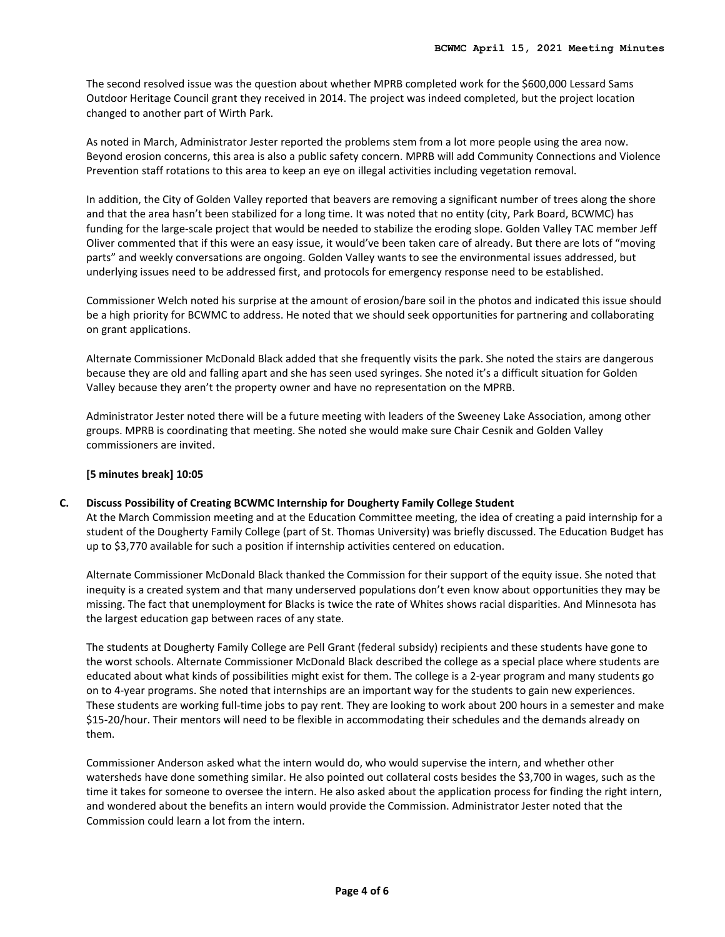The second resolved issue was the question about whether MPRB completed work for the \$600,000 Lessard Sams Outdoor Heritage Council grant they received in 2014. The project was indeed completed, but the project location changed to another part of Wirth Park.

As noted in March, Administrator Jester reported the problems stem from a lot more people using the area now. Beyond erosion concerns, this area is also a public safety concern. MPRB will add Community Connections and Violence Prevention staff rotations to this area to keep an eye on illegal activities including vegetation removal.

In addition, the City of Golden Valley reported that beavers are removing a significant number of trees along the shore and that the area hasn't been stabilized for a long time. It was noted that no entity (city, Park Board, BCWMC) has funding for the large-scale project that would be needed to stabilize the eroding slope. Golden Valley TAC member Jeff Oliver commented that if this were an easy issue, it would've been taken care of already. But there are lots of "moving parts" and weekly conversations are ongoing. Golden Valley wants to see the environmental issues addressed, but underlying issues need to be addressed first, and protocols for emergency response need to be established.

Commissioner Welch noted his surprise at the amount of erosion/bare soil in the photos and indicated this issue should be a high priority for BCWMC to address. He noted that we should seek opportunities for partnering and collaborating on grant applications.

Alternate Commissioner McDonald Black added that she frequently visits the park. She noted the stairs are dangerous because they are old and falling apart and she has seen used syringes. She noted it's a difficult situation for Golden Valley because they aren't the property owner and have no representation on the MPRB.

Administrator Jester noted there will be a future meeting with leaders of the Sweeney Lake Association, among other groups. MPRB is coordinating that meeting. She noted she would make sure Chair Cesnik and Golden Valley commissioners are invited.

### **[5 minutes break] 10:05**

# **C. Discuss Possibility of Creating BCWMC Internship for Dougherty Family College Student**

At the March Commission meeting and at the Education Committee meeting, the idea of creating a paid internship for a student of the Dougherty Family College (part of St. Thomas University) was briefly discussed. The Education Budget has up to \$3,770 available for such a position if internship activities centered on education.

Alternate Commissioner McDonald Black thanked the Commission for their support of the equity issue. She noted that inequity is a created system and that many underserved populations don't even know about opportunities they may be missing. The fact that unemployment for Blacks is twice the rate of Whites shows racial disparities. And Minnesota has the largest education gap between races of any state.

The students at Dougherty Family College are Pell Grant (federal subsidy) recipients and these students have gone to the worst schools. Alternate Commissioner McDonald Black described the college as a special place where students are educated about what kinds of possibilities might exist for them. The college is a 2-year program and many students go on to 4-year programs. She noted that internships are an important way for the students to gain new experiences. These students are working full-time jobs to pay rent. They are looking to work about 200 hours in a semester and make \$15-20/hour. Their mentors will need to be flexible in accommodating their schedules and the demands already on them.

Commissioner Anderson asked what the intern would do, who would supervise the intern, and whether other watersheds have done something similar. He also pointed out collateral costs besides the \$3,700 in wages, such as the time it takes for someone to oversee the intern. He also asked about the application process for finding the right intern, and wondered about the benefits an intern would provide the Commission. Administrator Jester noted that the Commission could learn a lot from the intern.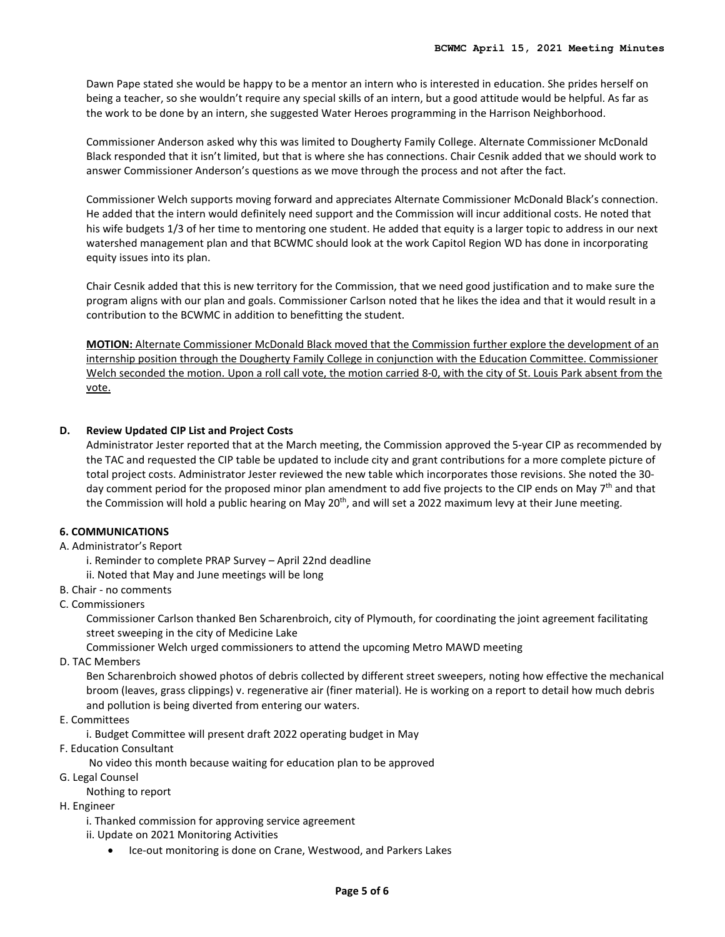Dawn Pape stated she would be happy to be a mentor an intern who is interested in education. She prides herself on being a teacher, so she wouldn't require any special skills of an intern, but a good attitude would be helpful. As far as the work to be done by an intern, she suggested Water Heroes programming in the Harrison Neighborhood.

Commissioner Anderson asked why this was limited to Dougherty Family College. Alternate Commissioner McDonald Black responded that it isn't limited, but that is where she has connections. Chair Cesnik added that we should work to answer Commissioner Anderson's questions as we move through the process and not after the fact.

Commissioner Welch supports moving forward and appreciates Alternate Commissioner McDonald Black's connection. He added that the intern would definitely need support and the Commission will incur additional costs. He noted that his wife budgets 1/3 of her time to mentoring one student. He added that equity is a larger topic to address in our next watershed management plan and that BCWMC should look at the work Capitol Region WD has done in incorporating equity issues into its plan.

Chair Cesnik added that this is new territory for the Commission, that we need good justification and to make sure the program aligns with our plan and goals. Commissioner Carlson noted that he likes the idea and that it would result in a contribution to the BCWMC in addition to benefitting the student.

**MOTION:** Alternate Commissioner McDonald Black moved that the Commission further explore the development of an internship position through the Dougherty Family College in conjunction with the Education Committee. Commissioner Welch seconded the motion. Upon a roll call vote, the motion carried 8-0, with the city of St. Louis Park absent from the vote.

#### **D. Review Updated CIP List and Project Costs**

Administrator Jester reported that at the March meeting, the Commission approved the 5-year CIP as recommended by the TAC and requested the CIP table be updated to include city and grant contributions for a more complete picture of total project costs. Administrator Jester reviewed the new table which incorporates those revisions. She noted the 30 day comment period for the proposed minor plan amendment to add five projects to the CIP ends on May  $7<sup>th</sup>$  and that the Commission will hold a public hearing on May 20<sup>th</sup>, and will set a 2022 maximum levy at their June meeting.

# **6. COMMUNICATIONS**

#### A. Administrator's Report

- i. Reminder to complete PRAP Survey April 22nd deadline
- ii. Noted that May and June meetings will be long
- B. Chair no comments
- C. Commissioners

Commissioner Carlson thanked Ben Scharenbroich, city of Plymouth, for coordinating the joint agreement facilitating street sweeping in the city of Medicine Lake

Commissioner Welch urged commissioners to attend the upcoming Metro MAWD meeting

D. TAC Members

Ben Scharenbroich showed photos of debris collected by different street sweepers, noting how effective the mechanical broom (leaves, grass clippings) v. regenerative air (finer material). He is working on a report to detail how much debris and pollution is being diverted from entering our waters.

E. Committees

i. Budget Committee will present draft 2022 operating budget in May

F. Education Consultant

No video this month because waiting for education plan to be approved

- G. Legal Counsel
	- Nothing to report
- H. Engineer
	- i. Thanked commission for approving service agreement
	- ii. Update on 2021 Monitoring Activities
		- Ice-out monitoring is done on Crane, Westwood, and Parkers Lakes